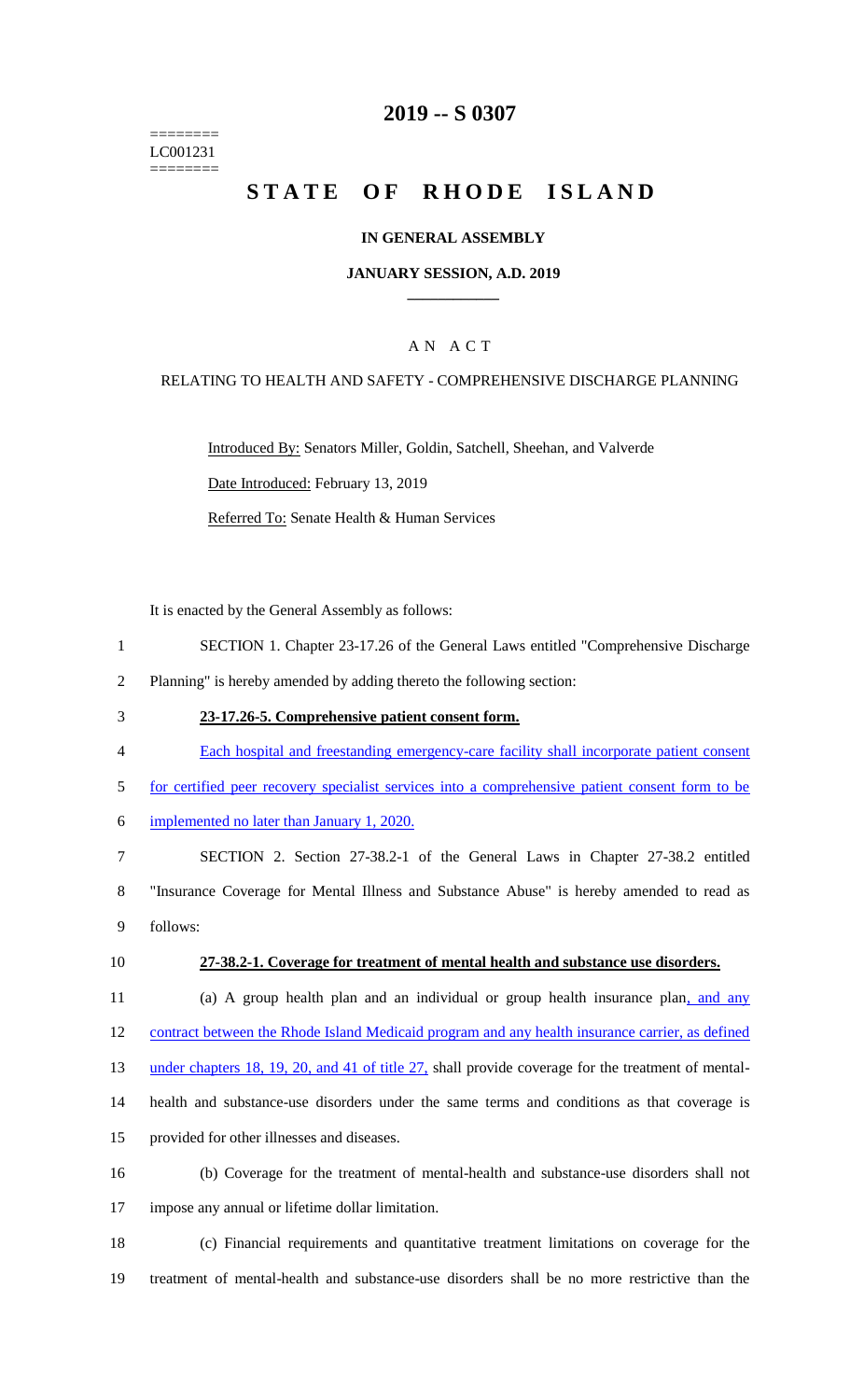======== LC001231 ========

# **2019 -- S 0307**

# STATE OF RHODE ISLAND

### **IN GENERAL ASSEMBLY**

### **JANUARY SESSION, A.D. 2019 \_\_\_\_\_\_\_\_\_\_\_\_**

## A N A C T

### RELATING TO HEALTH AND SAFETY - COMPREHENSIVE DISCHARGE PLANNING

Introduced By: Senators Miller, Goldin, Satchell, Sheehan, and Valverde Date Introduced: February 13, 2019 Referred To: Senate Health & Human Services

It is enacted by the General Assembly as follows:

- 1 SECTION 1. Chapter 23-17.26 of the General Laws entitled "Comprehensive Discharge
- 2 Planning" is hereby amended by adding thereto the following section:
- 3 **23-17.26-5. Comprehensive patient consent form.**
- 4 Each hospital and freestanding emergency-care facility shall incorporate patient consent
- 5 for certified peer recovery specialist services into a comprehensive patient consent form to be
- 6 implemented no later than January 1, 2020.

7 SECTION 2. Section 27-38.2-1 of the General Laws in Chapter 27-38.2 entitled 8 "Insurance Coverage for Mental Illness and Substance Abuse" is hereby amended to read as 9 follows:

#### 10 **27-38.2-1. Coverage for treatment of mental health and substance use disorders.**

11 (a) A group health plan and an individual or group health insurance plan, and any 12 contract between the Rhode Island Medicaid program and any health insurance carrier, as defined 13 under chapters 18, 19, 20, and 41 of title 27, shall provide coverage for the treatment of mental-

- 14 health and substance-use disorders under the same terms and conditions as that coverage is
- 15 provided for other illnesses and diseases.
- 16 (b) Coverage for the treatment of mental-health and substance-use disorders shall not 17 impose any annual or lifetime dollar limitation.
- 18 (c) Financial requirements and quantitative treatment limitations on coverage for the 19 treatment of mental-health and substance-use disorders shall be no more restrictive than the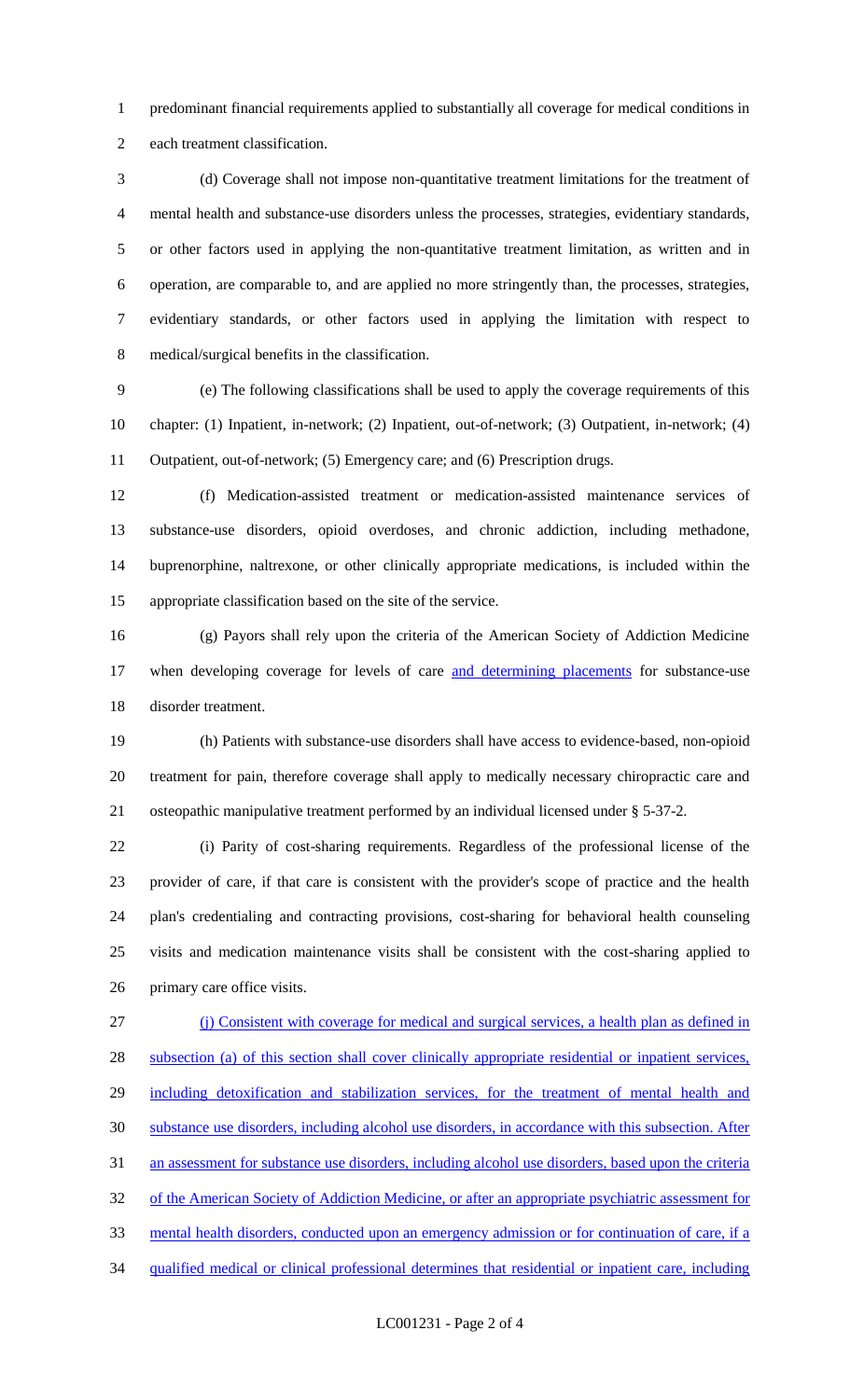predominant financial requirements applied to substantially all coverage for medical conditions in each treatment classification.

 (d) Coverage shall not impose non-quantitative treatment limitations for the treatment of mental health and substance-use disorders unless the processes, strategies, evidentiary standards, or other factors used in applying the non-quantitative treatment limitation, as written and in operation, are comparable to, and are applied no more stringently than, the processes, strategies, evidentiary standards, or other factors used in applying the limitation with respect to medical/surgical benefits in the classification.

 (e) The following classifications shall be used to apply the coverage requirements of this chapter: (1) Inpatient, in-network; (2) Inpatient, out-of-network; (3) Outpatient, in-network; (4) Outpatient, out-of-network; (5) Emergency care; and (6) Prescription drugs.

 (f) Medication-assisted treatment or medication-assisted maintenance services of substance-use disorders, opioid overdoses, and chronic addiction, including methadone, buprenorphine, naltrexone, or other clinically appropriate medications, is included within the appropriate classification based on the site of the service.

 (g) Payors shall rely upon the criteria of the American Society of Addiction Medicine 17 when developing coverage for levels of care and determining placements for substance-use disorder treatment.

 (h) Patients with substance-use disorders shall have access to evidence-based, non-opioid treatment for pain, therefore coverage shall apply to medically necessary chiropractic care and osteopathic manipulative treatment performed by an individual licensed under § 5-37-2.

 (i) Parity of cost-sharing requirements. Regardless of the professional license of the provider of care, if that care is consistent with the provider's scope of practice and the health plan's credentialing and contracting provisions, cost-sharing for behavioral health counseling visits and medication maintenance visits shall be consistent with the cost-sharing applied to primary care office visits.

 (j) Consistent with coverage for medical and surgical services, a health plan as defined in subsection (a) of this section shall cover clinically appropriate residential or inpatient services, 29 including detoxification and stabilization services, for the treatment of mental health and substance use disorders, including alcohol use disorders, in accordance with this subsection. After an assessment for substance use disorders, including alcohol use disorders, based upon the criteria 32 of the American Society of Addiction Medicine, or after an appropriate psychiatric assessment for mental health disorders, conducted upon an emergency admission or for continuation of care, if a qualified medical or clinical professional determines that residential or inpatient care, including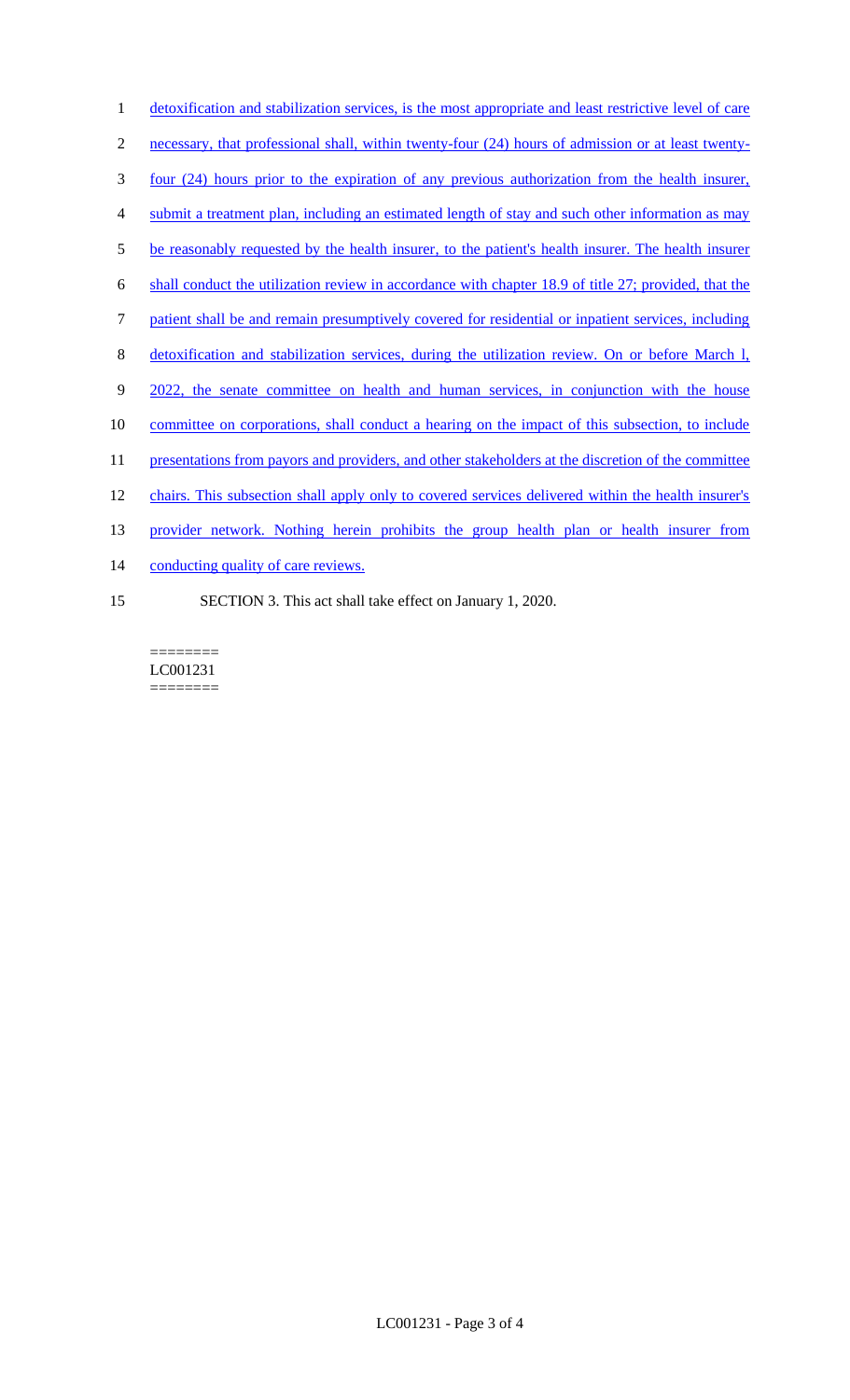detoxification and stabilization services, is the most appropriate and least restrictive level of care necessary, that professional shall, within twenty-four (24) hours of admission or at least twenty- four (24) hours prior to the expiration of any previous authorization from the health insurer, submit a treatment plan, including an estimated length of stay and such other information as may 5 be reasonably requested by the health insurer, to the patient's health insurer. The health insurer shall conduct the utilization review in accordance with chapter 18.9 of title 27; provided, that the patient shall be and remain presumptively covered for residential or inpatient services, including detoxification and stabilization services, during the utilization review. On or before March l, 9 2022, the senate committee on health and human services, in conjunction with the house 10 committee on corporations, shall conduct a hearing on the impact of this subsection, to include 11 presentations from payors and providers, and other stakeholders at the discretion of the committee chairs. This subsection shall apply only to covered services delivered within the health insurer's provider network. Nothing herein prohibits the group health plan or health insurer from 14 conducting quality of care reviews. SECTION 3. This act shall take effect on January 1, 2020.

======== LC001231 ========